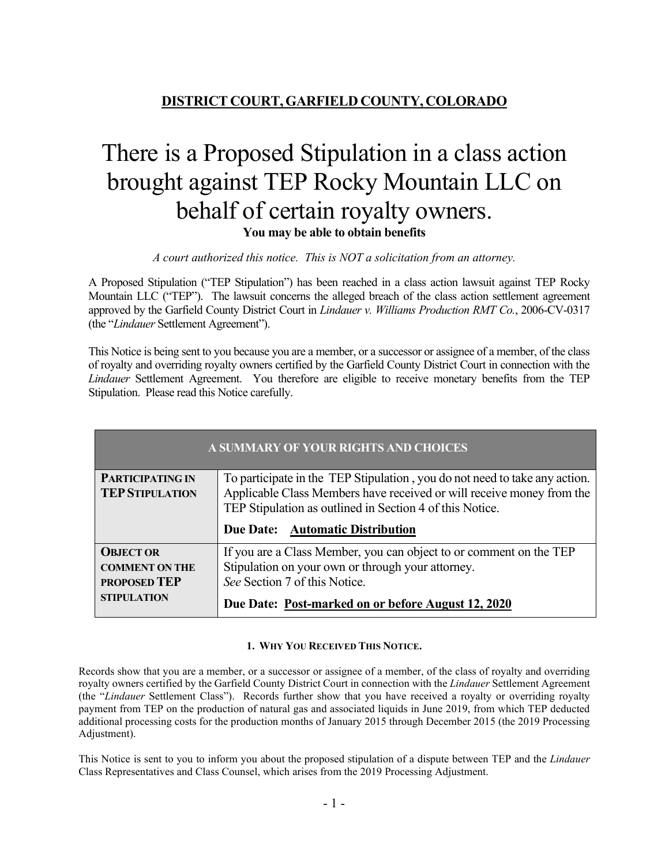# **DISTRICT COURT, GARFIELD COUNTY, COLORADO**

# There is a Proposed Stipulation in a class action brought against TEP Rocky Mountain LLC on behalf of certain royalty owners. **You may be able to obtain benefits**

*A court authorized this notice. This is NOT a solicitation from an attorney.*

A Proposed Stipulation ("TEP Stipulation") has been reached in a class action lawsuit against TEP Rocky Mountain LLC ("TEP"). The lawsuit concerns the alleged breach of the class action settlement agreement approved by the Garfield County District Court in *Lindauer v. Williams Production RMT Co.*, 2006-CV-0317 (the "*Lindauer* Settlement Agreement").

This Notice is being sent to you because you are a member, or a successor or assignee of a member, of the class of royalty and overriding royalty owners certified by the Garfield County District Court in connection with the *Lindauer* Settlement Agreement. You therefore are eligible to receive monetary benefits from the TEP Stipulation. Please read this Notice carefully.

| A SUMMARY OF YOUR RIGHTS AND CHOICES              |                                                                                                                                                     |
|---------------------------------------------------|-----------------------------------------------------------------------------------------------------------------------------------------------------|
| <b>PARTICIPATING IN</b><br><b>TEP STIPULATION</b> | To participate in the TEP Stipulation, you do not need to take any action.<br>Applicable Class Members have received or will receive money from the |
|                                                   | TEP Stipulation as outlined in Section 4 of this Notice.                                                                                            |
|                                                   | Due Date: Automatic Distribution                                                                                                                    |
| <b>OBJECT OR</b>                                  | If you are a Class Member, you can object to or comment on the TEP                                                                                  |
| <b>COMMENT ON THE</b>                             | Stipulation on your own or through your attorney.                                                                                                   |
| <b>PROPOSED TEP</b>                               | See Section 7 of this Notice.                                                                                                                       |
| <b>STIPULATION</b>                                | Due Date: Post-marked on or before August 12, 2020                                                                                                  |

# **1. WHY YOU RECEIVED THIS NOTICE.**

Records show that you are a member, or a successor or assignee of a member, of the class of royalty and overriding royalty owners certified by the Garfield County District Court in connection with the *Lindauer* Settlement Agreement (the "*Lindauer* Settlement Class"). Records further show that you have received a royalty or overriding royalty payment from TEP on the production of natural gas and associated liquids in June 2019, from which TEP deducted additional processing costs for the production months of January 2015 through December 2015 (the 2019 Processing Adjustment).

This Notice is sent to you to inform you about the proposed stipulation of a dispute between TEP and the *Lindauer*  Class Representatives and Class Counsel, which arises from the 2019 Processing Adjustment.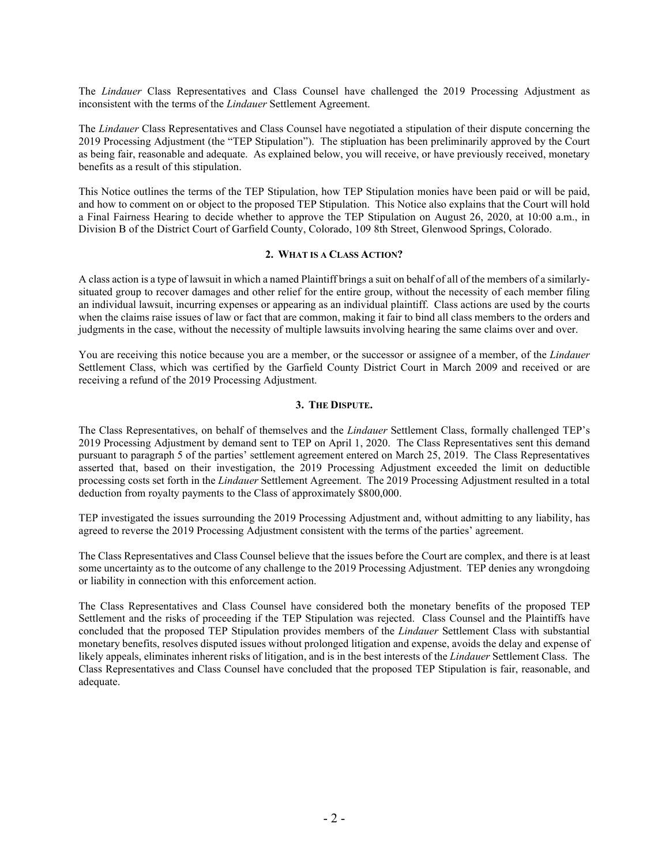The *Lindauer* Class Representatives and Class Counsel have challenged the 2019 Processing Adjustment as inconsistent with the terms of the *Lindauer* Settlement Agreement.

The *Lindauer* Class Representatives and Class Counsel have negotiated a stipulation of their dispute concerning the 2019 Processing Adjustment (the "TEP Stipulation"). The stipluation has been preliminarily approved by the Court as being fair, reasonable and adequate. As explained below, you will receive, or have previously received, monetary benefits as a result of this stipulation.

This Notice outlines the terms of the TEP Stipulation, how TEP Stipulation monies have been paid or will be paid, and how to comment on or object to the proposed TEP Stipulation. This Notice also explains that the Court will hold a Final Fairness Hearing to decide whether to approve the TEP Stipulation on August 26, 2020, at 10:00 a.m., in Division B of the District Court of Garfield County, Colorado, 109 8th Street, Glenwood Springs, Colorado.

#### **2. WHAT IS A CLASS ACTION?**

A class action is a type of lawsuit in which a named Plaintiff brings a suit on behalf of all of the members of a similarlysituated group to recover damages and other relief for the entire group, without the necessity of each member filing an individual lawsuit, incurring expenses or appearing as an individual plaintiff. Class actions are used by the courts when the claims raise issues of law or fact that are common, making it fair to bind all class members to the orders and judgments in the case, without the necessity of multiple lawsuits involving hearing the same claims over and over.

You are receiving this notice because you are a member, or the successor or assignee of a member, of the *Lindauer*  Settlement Class, which was certified by the Garfield County District Court in March 2009 and received or are receiving a refund of the 2019 Processing Adjustment.

#### **3. THE DISPUTE.**

The Class Representatives, on behalf of themselves and the *Lindauer* Settlement Class, formally challenged TEP's 2019 Processing Adjustment by demand sent to TEP on April 1, 2020. The Class Representatives sent this demand pursuant to paragraph 5 of the parties' settlement agreement entered on March 25, 2019. The Class Representatives asserted that, based on their investigation, the 2019 Processing Adjustment exceeded the limit on deductible processing costs set forth in the *Lindauer* Settlement Agreement. The 2019 Processing Adjustment resulted in a total deduction from royalty payments to the Class of approximately \$800,000.

TEP investigated the issues surrounding the 2019 Processing Adjustment and, without admitting to any liability, has agreed to reverse the 2019 Processing Adjustment consistent with the terms of the parties' agreement.

The Class Representatives and Class Counsel believe that the issues before the Court are complex, and there is at least some uncertainty as to the outcome of any challenge to the 2019 Processing Adjustment. TEP denies any wrongdoing or liability in connection with this enforcement action.

The Class Representatives and Class Counsel have considered both the monetary benefits of the proposed TEP Settlement and the risks of proceeding if the TEP Stipulation was rejected. Class Counsel and the Plaintiffs have concluded that the proposed TEP Stipulation provides members of the *Lindauer* Settlement Class with substantial monetary benefits, resolves disputed issues without prolonged litigation and expense, avoids the delay and expense of likely appeals, eliminates inherent risks of litigation, and is in the best interests of the *Lindauer* Settlement Class. The Class Representatives and Class Counsel have concluded that the proposed TEP Stipulation is fair, reasonable, and adequate.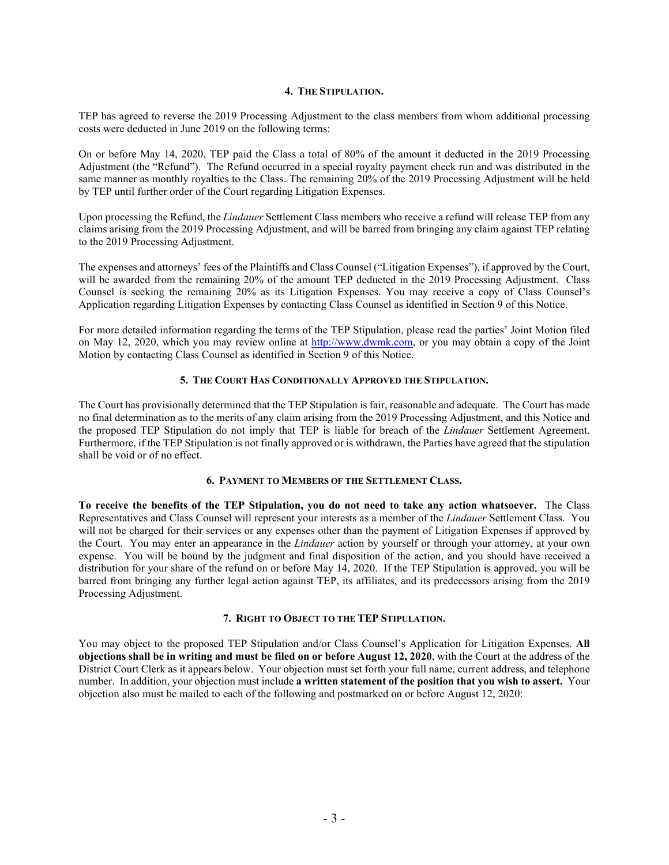#### **4. THE STIPULATION.**

TEP has agreed to reverse the 2019 Processing Adjustment to the class members from whom additional processing costs were deducted in June 2019 on the following terms:

On or before May 14, 2020, TEP paid the Class a total of 80% of the amount it deducted in the 2019 Processing Adjustment (the "Refund"). The Refund occurred in a special royalty payment check run and was distributed in the same manner as monthly royalties to the Class. The remaining 20% of the 2019 Processing Adjustment will be held by TEP until further order of the Court regarding Litigation Expenses.

Upon processing the Refund, the *Lindauer* Settlement Class members who receive a refund will release TEP from any claims arising from the 2019 Processing Adjustment, and will be barred from bringing any claim against TEP relating to the 2019 Processing Adjustment.

The expenses and attorneys' fees of the Plaintiffs and Class Counsel ("Litigation Expenses"), if approved by the Court, will be awarded from the remaining 20% of the amount TEP deducted in the 2019 Processing Adjustment. Class Counsel is seeking the remaining 20% as its Litigation Expenses. You may receive a copy of Class Counsel's Application regarding Litigation Expenses by contacting Class Counsel as identified in Section 9 of this Notice.

For more detailed information regarding the terms of the TEP Stipulation, please read the parties' Joint Motion filed on May 12, 2020, which you may review online at [http://www.dwmk.com,](http://www.dwmk.com/) or you may obtain a copy of the Joint Motion by contacting Class Counsel as identified in Section 9 of this Notice.

#### **5. THE COURT HAS CONDITIONALLY APPROVED THE STIPULATION.**

The Court has provisionally determined that the TEP Stipulation is fair, reasonable and adequate. The Court has made no final determination as to the merits of any claim arising from the 2019 Processing Adjustment, and this Notice and the proposed TEP Stipulation do not imply that TEP is liable for breach of the *Lindauer* Settlement Agreement. Furthermore, if the TEP Stipulation is not finally approved or is withdrawn, the Parties have agreed that the stipulation shall be void or of no effect.

# **6. PAYMENT TO MEMBERS OF THE SETTLEMENT CLASS.**

**To receive the benefits of the TEP Stipulation, you do not need to take any action whatsoever.** The Class Representatives and Class Counsel will represent your interests as a member of the *Lindauer* Settlement Class. You will not be charged for their services or any expenses other than the payment of Litigation Expenses if approved by the Court. You may enter an appearance in the *Lindauer* action by yourself or through your attorney, at your own expense. You will be bound by the judgment and final disposition of the action, and you should have received a distribution for your share of the refund on or before May 14, 2020. If the TEP Stipulation is approved, you will be barred from bringing any further legal action against TEP, its affiliates, and its predecessors arising from the 2019 Processing Adjustment.

# **7. RIGHT TO OBJECT TO THE TEP STIPULATION.**

You may object to the proposed TEP Stipulation and/or Class Counsel's Application for Litigation Expenses. **All objections shall be in writing and must be filed on or before August 12, 2020**, with the Court at the address of the District Court Clerk as it appears below. Your objection must set forth your full name, current address, and telephone number. In addition, your objection must include **a written statement of the position that you wish to assert.** Your objection also must be mailed to each of the following and postmarked on or before August 12, 2020: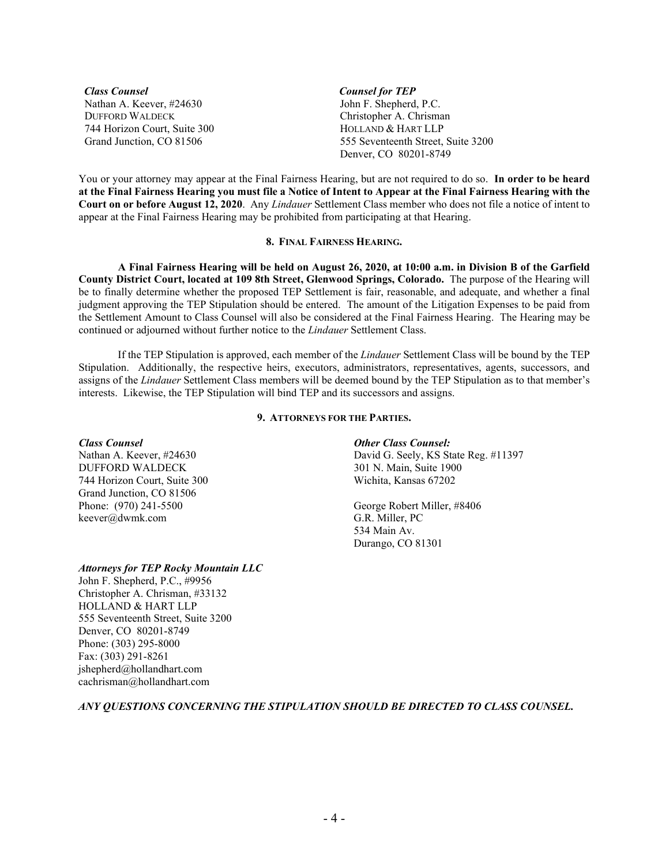*Class Counsel Counsel for TEP* Nathan A. Keever, #24630 DUFFORD WALDECK 744 Horizon Court, Suite 300 Grand Junction, CO 81506

John F. Shepherd, P.C. Christopher A. Chrisman HOLLAND & HART LLP 555 Seventeenth Street, Suite 3200 Denver, CO 80201-8749

You or your attorney may appear at the Final Fairness Hearing, but are not required to do so. **In order to be heard at the Final Fairness Hearing you must file a Notice of Intent to Appear at the Final Fairness Hearing with the Court on or before August 12, 2020**. Any *Lindauer* Settlement Class member who does not file a notice of intent to appear at the Final Fairness Hearing may be prohibited from participating at that Hearing.

#### **8. FINAL FAIRNESS HEARING.**

**A Final Fairness Hearing will be held on August 26, 2020, at 10:00 a.m. in Division B of the Garfield County District Court, located at 109 8th Street, Glenwood Springs, Colorado.** The purpose of the Hearing will be to finally determine whether the proposed TEP Settlement is fair, reasonable, and adequate, and whether a final judgment approving the TEP Stipulation should be entered. The amount of the Litigation Expenses to be paid from the Settlement Amount to Class Counsel will also be considered at the Final Fairness Hearing. The Hearing may be continued or adjourned without further notice to the *Lindauer* Settlement Class.

If the TEP Stipulation is approved, each member of the *Lindauer* Settlement Class will be bound by the TEP Stipulation. Additionally, the respective heirs, executors, administrators, representatives, agents, successors, and assigns of the *Lindauer* Settlement Class members will be deemed bound by the TEP Stipulation as to that member's interests. Likewise, the TEP Stipulation will bind TEP and its successors and assigns.

# **9. ATTORNEYS FOR THE PARTIES.**

DUFFORD WALDECK 301 N. Main, Suite 1900<br>
744 Horizon Court, Suite 300<br>
Wichita, Kansas 67202 744 Horizon Court, Suite 300 Grand Junction, CO 81506 Phone: (970) 241-5500 George Robert Miller, #8406 keever@dwmk.com

#### *Class Counsel Other Class Counsel:*

Nathan A. Keever, #24630 David G. Seely, KS State Reg. #11397

534 Main Av. Durango, CO 81301

# *Attorneys for TEP Rocky Mountain LLC*

John F. Shepherd, P.C., #9956 Christopher A. Chrisman, #33132 HOLLAND & HART LLP 555 Seventeenth Street, Suite 3200 Denver, CO 80201-8749 Phone: (303) 295-8000 Fax: (303) 291-8261 jshepherd@hollandhart.com cachrisman@hollandhart.com

# *ANY QUESTIONS CONCERNING THE STIPULATION SHOULD BE DIRECTED TO CLASS COUNSEL.*